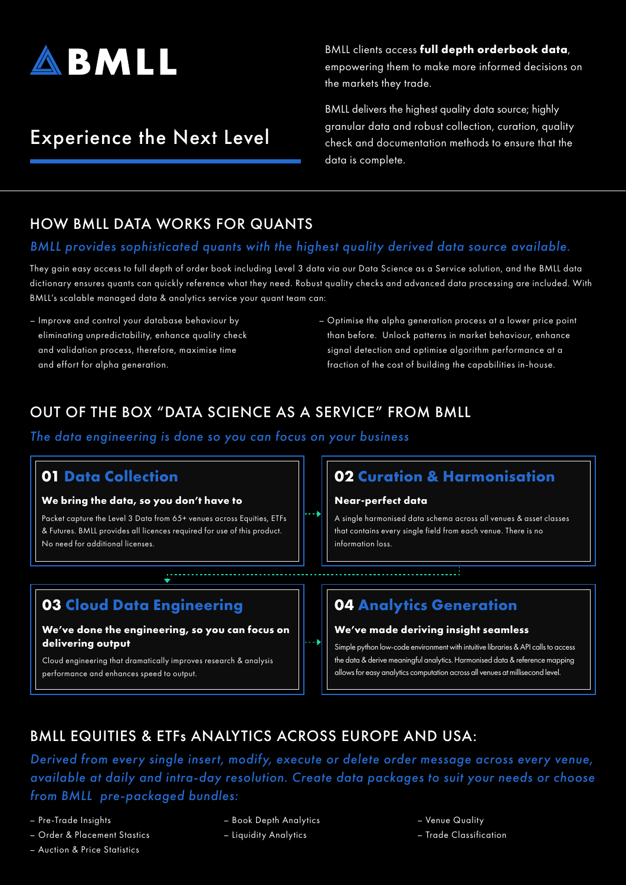

# Experience the Next Level

BMLL clients access **full depth orderbook data**, empowering them to make more informed decisions on the markets they trade.

BMLL delivers the highest quality data source; highly granular data and robust collection, curation, quality check and documentation methods to ensure that the data is complete.

### HOW BMLL DATA WORKS FOR QUANTS

#### *BMLL provides sophisticated quants with the highest quality derived data source available.*

They gain easy access to full depth of order book including Level 3 data via our Data Science as a Service solution, and the BMLL data dictionary ensures quants can quickly reference what they need. Robust quality checks and advanced data processing are included. With BMLL's scalable managed data & analytics service your quant team can:

- Improve and control your database behaviour by eliminating unpredictability, enhance quality check and validation process, therefore, maximise time and effort for alpha generation.
- Optimise the alpha generation process at a lower price point than before. Unlock patterns in market behaviour, enhance signal detection and optimise algorithm performance at a fraction of the cost of building the capabilities in-house.

## OUT OF THE BOX "DATA SCIENCE AS A SERVICE" FROM BMLL

*The data engineering is done so you can focus on your business*

#### **01 Data Collection**

#### **We bring the data, so you don't have to**

Packet capture the Level 3 Data from 65+ venues across Equities, ETFs & Futures. BMLL provides all licences required for use of this product. No need for additional licenses.

### **03 Cloud Data Engineering**

#### **We've done the engineering, so you can focus on delivering output**

Cloud engineering that dramatically improves research & analysis performance and enhances speed to output.

### **02 Curation & Harmonisation**

#### **Near-perfect data**

A single harmonised data schema across all venues & asset classes that contains every single field from each venue. There is no information loss.

# **04 Analytics Generation**

#### **We've made deriving insight seamless**

Simple python low-code environment with intuitive libraries & API calls to access the data & derive meaningful analytics. Harmonised data & reference mapping allows for easy analytics computation across all venues at millisecond level.

# BMLL EQUITIES & ETFs ANALYTICS ACROSS EUROPE AND USA:

*Derived from every single insert, modify, execute or delete order message across every venue, available at daily and intra-day resolution. Create data packages to suit your needs or choose from BMLL pre-packaged bundles:*

– Pre-Trade Insights

- Order & Placement Stastics
- Auction & Price Statistics
- Book Depth Analytics
- Liquidity Analytics
- Venue Quality
- Trade Classification